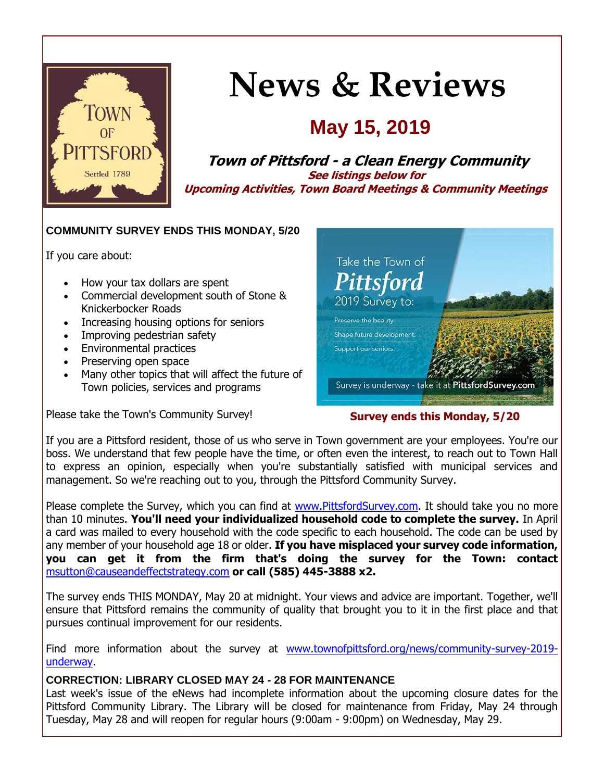

# **News & Reviews**

## **May 15, 2019**

**Town of Pittsford - a Clean Energy Community See listings below for Upcoming Activities, Town Board Meetings & Community Meetings**

#### **COMMUNITY SURVEY ENDS THIS MONDAY, 5/20**

If you care about:

- How your tax dollars are spent
- Commercial development south of Stone & Knickerbocker Roads
- Increasing housing options for seniors
- Improving pedestrian safety
- Environmental practices
- Preserving open space
- Many other topics that will affect the future of Town policies, services and programs

Please take the Town's Community Survey!



#### **Survey ends this Monday, 5/20**

If you are a Pittsford resident, those of us who serve in Town government are your employees. You're our boss. We understand that few people have the time, or often even the interest, to reach out to Town Hall to express an opinion, especially when you're substantially satisfied with municipal services and management. So we're reaching out to you, through the Pittsford Community Survey.

Please complete the Survey, which you can find at [www.PittsfordSurvey.com.](http://r20.rs6.net/tn.jsp?f=001glB7opHf8kdZUsYUBSc8yUZvvYMQhSGrG6Hph_OwdnxofS0_OAoGQBbBL2X_lUJa4bpSL_fP4t0uYFIJDZSMRFfWX5xwdYX0dYCKqfHHHoxh3lj944MnnrfSHUSTUEIrZMXHZSlRu5Z8tT4dAPzL31_Gnj9imuBU7VQGmkhaCRcYgwf6XUztxqhR3Q1xoYK_tcgVNJgz5yRZMUdXyVhjdrIPowWzi91pB2TR4qVHcoOB-g16aXlT846hb7zccmveDqAuWmI8sW3OeGNATwPDfrcTC98aI-BwLNpXzVDHcx4=&c=0bHtB-huBllQT998-lUD-SBn5bnOukw6Wwuijw2iLJp1S8PD3yreIg==&ch=k6kYkM7rO-m0n4h8pztplogBKJ-u-fVipQ_RwLKynLZ40hah1ZutUQ==) It should take you no more than 10 minutes. **You'll need your individualized household code to complete the survey.** In April a card was mailed to every household with the code specific to each household. The code can be used by any member of your household age 18 or older. **If you have misplaced your survey code information, you can get it from the firm that's doing the survey for the Town: contact**  [msutton@causeandeffectstrategy.com](mailto:msutton@causeandeffectstrategy.com) **or call (585) 445-3888 x2.**

The survey ends THIS MONDAY, May 20 at midnight. Your views and advice are important. Together, we'll ensure that Pittsford remains the community of quality that brought you to it in the first place and that pursues continual improvement for our residents.

Find more information about the survey at [www.townofpittsford.org/news/community-survey-2019](http://r20.rs6.net/tn.jsp?f=001glB7opHf8kdZUsYUBSc8yUZvvYMQhSGrG6Hph_OwdnxofS0_OAoGQHzeoQMVW12GVQxMvvJHbDg-DIEEA6H8ZOZiaQxGEpwonniu7lJy0eRdvxVayRHGCVWzJiel5sXsGCZmNaJg252ek-856EqG3jd4elP-v4xNDsN1UdRYcF-RYE7Kmgu4-cR7FaT2ygIwGxz2NYa3BJJKERXvF7s74YNsSm1FCi5kc8PFhw9kGVU6xmvz6bnc0cfc9aiEf_matRIWW8uFKT9BUDcDLJR1nC7hYYbH5FZD_mLOHvqeeUTFDE4j3pEd01IiQ0jirSUnGQT_1vevZ4IOKsO7u6_dIUKmA4aNhwd8KcUkYeuwNYWVMb2l-BAqFB4HkTlT7xMxU7od_l2-Ol4Y1VFwb5JStw==&c=0bHtB-huBllQT998-lUD-SBn5bnOukw6Wwuijw2iLJp1S8PD3yreIg==&ch=k6kYkM7rO-m0n4h8pztplogBKJ-u-fVipQ_RwLKynLZ40hah1ZutUQ==) [underway.](http://r20.rs6.net/tn.jsp?f=001glB7opHf8kdZUsYUBSc8yUZvvYMQhSGrG6Hph_OwdnxofS0_OAoGQHzeoQMVW12GVQxMvvJHbDg-DIEEA6H8ZOZiaQxGEpwonniu7lJy0eRdvxVayRHGCVWzJiel5sXsGCZmNaJg252ek-856EqG3jd4elP-v4xNDsN1UdRYcF-RYE7Kmgu4-cR7FaT2ygIwGxz2NYa3BJJKERXvF7s74YNsSm1FCi5kc8PFhw9kGVU6xmvz6bnc0cfc9aiEf_matRIWW8uFKT9BUDcDLJR1nC7hYYbH5FZD_mLOHvqeeUTFDE4j3pEd01IiQ0jirSUnGQT_1vevZ4IOKsO7u6_dIUKmA4aNhwd8KcUkYeuwNYWVMb2l-BAqFB4HkTlT7xMxU7od_l2-Ol4Y1VFwb5JStw==&c=0bHtB-huBllQT998-lUD-SBn5bnOukw6Wwuijw2iLJp1S8PD3yreIg==&ch=k6kYkM7rO-m0n4h8pztplogBKJ-u-fVipQ_RwLKynLZ40hah1ZutUQ==)

#### **CORRECTION: LIBRARY CLOSED MAY 24 - 28 FOR MAINTENANCE**

Last week's issue of the eNews had incomplete information about the upcoming closure dates for the Pittsford Community Library. The Library will be closed for maintenance from Friday, May 24 through Tuesday, May 28 and will reopen for regular hours (9:00am - 9:00pm) on Wednesday, May 29.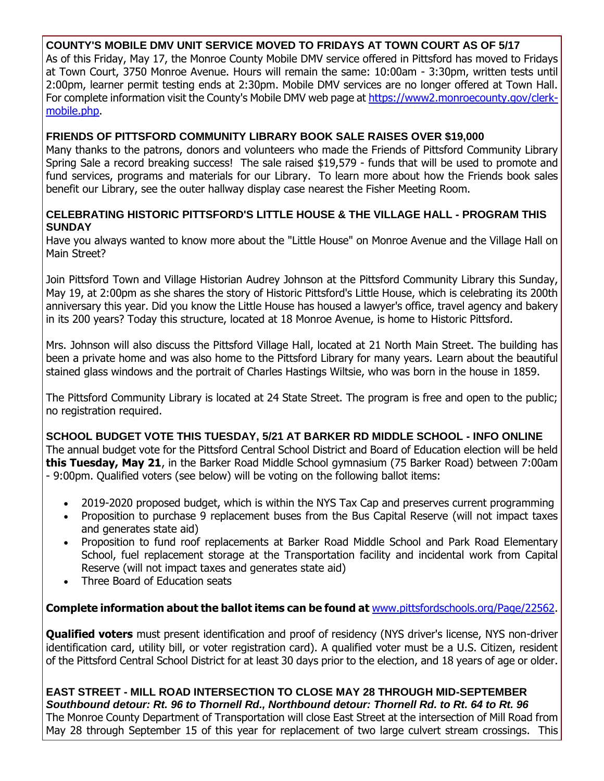#### **COUNTY'S MOBILE DMV UNIT SERVICE MOVED TO FRIDAYS AT TOWN COURT AS OF 5/17**

As of this Friday, May 17, the Monroe County Mobile DMV service offered in Pittsford has moved to Fridays at Town Court, 3750 Monroe Avenue. Hours will remain the same: 10:00am - 3:30pm, written tests until 2:00pm, learner permit testing ends at 2:30pm. Mobile DMV services are no longer offered at Town Hall. For complete information visit the County's Mobile DMV web page at [https://www2.monroecounty.gov/clerk](http://r20.rs6.net/tn.jsp?f=001glB7opHf8kdZUsYUBSc8yUZvvYMQhSGrG6Hph_OwdnxofS0_OAoGQHzeoQMVW12GE6z2cVh2Djw41kd-VBw7GGjuxkqmZUSK3MrCbPQLb6FLZs4nxLWZQZRzIxTrFWFZ_8nEfRQce_WBTPWkp8kzk_ocAV4TyS-SW5w8D8J-9msk4DBoZKeWvlj9xlXZeE4P6ArXFa32MXVEhhNa6z-FudgvajM2hNApZpv0Tx3N-QXGH7qSOiqMVtw44wvsQxaFdvrsJsZzXlLnoUZYqwA3eMRZU6qpBWWSD89O5wNFCCj55SjoG89qCBr1F8DV_CB2&c=0bHtB-huBllQT998-lUD-SBn5bnOukw6Wwuijw2iLJp1S8PD3yreIg==&ch=k6kYkM7rO-m0n4h8pztplogBKJ-u-fVipQ_RwLKynLZ40hah1ZutUQ==)[mobile.php.](http://r20.rs6.net/tn.jsp?f=001glB7opHf8kdZUsYUBSc8yUZvvYMQhSGrG6Hph_OwdnxofS0_OAoGQHzeoQMVW12GE6z2cVh2Djw41kd-VBw7GGjuxkqmZUSK3MrCbPQLb6FLZs4nxLWZQZRzIxTrFWFZ_8nEfRQce_WBTPWkp8kzk_ocAV4TyS-SW5w8D8J-9msk4DBoZKeWvlj9xlXZeE4P6ArXFa32MXVEhhNa6z-FudgvajM2hNApZpv0Tx3N-QXGH7qSOiqMVtw44wvsQxaFdvrsJsZzXlLnoUZYqwA3eMRZU6qpBWWSD89O5wNFCCj55SjoG89qCBr1F8DV_CB2&c=0bHtB-huBllQT998-lUD-SBn5bnOukw6Wwuijw2iLJp1S8PD3yreIg==&ch=k6kYkM7rO-m0n4h8pztplogBKJ-u-fVipQ_RwLKynLZ40hah1ZutUQ==)

#### **FRIENDS OF PITTSFORD COMMUNITY LIBRARY BOOK SALE RAISES OVER \$19,000**

Many thanks to the patrons, donors and volunteers who made the Friends of Pittsford Community Library Spring Sale a record breaking success! The sale raised \$19,579 - funds that will be used to promote and fund services, programs and materials for our Library. To learn more about how the Friends book sales benefit our Library, see the outer hallway display case nearest the Fisher Meeting Room.

#### **CELEBRATING HISTORIC PITTSFORD'S LITTLE HOUSE & THE VILLAGE HALL - PROGRAM THIS SUNDAY**

Have you always wanted to know more about the "Little House" on Monroe Avenue and the Village Hall on Main Street?

Join Pittsford Town and Village Historian Audrey Johnson at the Pittsford Community Library this Sunday, May 19, at 2:00pm as she shares the story of Historic Pittsford's Little House, which is celebrating its 200th anniversary this year. Did you know the Little House has housed a lawyer's office, travel agency and bakery in its 200 years? Today this structure, located at 18 Monroe Avenue, is home to Historic Pittsford.

Mrs. Johnson will also discuss the Pittsford Village Hall, located at 21 North Main Street. The building has been a private home and was also home to the Pittsford Library for many years. Learn about the beautiful stained glass windows and the portrait of Charles Hastings Wiltsie, who was born in the house in 1859.

The Pittsford Community Library is located at 24 State Street. The program is free and open to the public; no registration required.

**SCHOOL BUDGET VOTE THIS TUESDAY, 5/21 AT BARKER RD MIDDLE SCHOOL - INFO ONLINE** The annual budget vote for the Pittsford Central School District and Board of Education election will be held **this Tuesday, May 21**, in the Barker Road Middle School gymnasium (75 Barker Road) between 7:00am - 9:00pm. Qualified voters (see below) will be voting on the following ballot items:

- 2019-2020 proposed budget, which is within the NYS Tax Cap and preserves current programming
- Proposition to purchase 9 replacement buses from the Bus Capital Reserve (will not impact taxes and generates state aid)
- Proposition to fund roof replacements at Barker Road Middle School and Park Road Elementary School, fuel replacement storage at the Transportation facility and incidental work from Capital Reserve (will not impact taxes and generates state aid)
- Three Board of Education seats

#### **Complete information about the ballot items can be found at** [www.pittsfordschools.org/Page/22562.](http://r20.rs6.net/tn.jsp?f=001glB7opHf8kdZUsYUBSc8yUZvvYMQhSGrG6Hph_OwdnxofS0_OAoGQLyfC9BhRiLjGCguuLSYWp2DExIQX_FgD0iEJeKaq7OBJuvWOzkOzxhtuObQvPtLlUyGKPjAYYYhraUt7QcipQdnEUXJ7jHbRuD5znxCBn8S_8EeKvIlUq07lhnAOWgCwIIRmPtMSPmy-WMDuOimUkb3SHgoOnfnaySKpEejF9tbn38L0kbcq39YN1MiHURlobGg-GunaxvgWjAscoNWESOjmilRsz_W8tMCr2e_CYIu0xRCi-_edKT2aXcaw9r6sw==&c=0bHtB-huBllQT998-lUD-SBn5bnOukw6Wwuijw2iLJp1S8PD3yreIg==&ch=k6kYkM7rO-m0n4h8pztplogBKJ-u-fVipQ_RwLKynLZ40hah1ZutUQ==)

**Qualified voters** must present identification and proof of residency (NYS driver's license, NYS non-driver identification card, utility bill, or voter registration card). A qualified voter must be a U.S. Citizen, resident of the Pittsford Central School District for at least 30 days prior to the election, and 18 years of age or older.

**EAST STREET - MILL ROAD INTERSECTION TO CLOSE MAY 28 THROUGH MID-SEPTEMBER** *Southbound detour: Rt. 96 to Thornell Rd., Northbound detour: Thornell Rd. to Rt. 64 to Rt. 96* The Monroe County Department of Transportation will close East Street at the intersection of Mill Road from May 28 through September 15 of this year for replacement of two large culvert stream crossings. This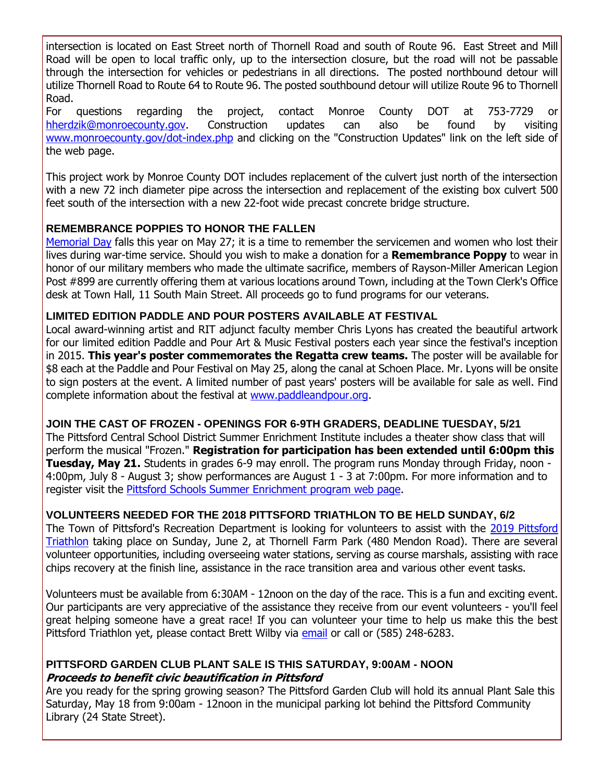intersection is located on East Street north of Thornell Road and south of Route 96. East Street and Mill Road will be open to local traffic only, up to the intersection closure, but the road will not be passable through the intersection for vehicles or pedestrians in all directions. The posted northbound detour will utilize Thornell Road to Route 64 to Route 96. The posted southbound detour will utilize Route 96 to Thornell Road.

For questions regarding the project, contact Monroe County DOT at 753-7729 or [hherdzik@monroecounty.gov.](mailto:hherdzik@monroecounty.gov?subject=Pittsford%20East%20Street-Mill%20Road%20Culvert%20Replacement%20Project) Construction updates can also be found by visiting [www.monroecounty.gov/dot-index.php](http://r20.rs6.net/tn.jsp?f=001glB7opHf8kdZUsYUBSc8yUZvvYMQhSGrG6Hph_OwdnxofS0_OAoGQL2EQ3hmqJMJ1CjTBe1H9-I4BgUAA3GdFvytjBVTJj5btraJFk0Q_CE54mpARzI_dAz34mVE6qu1N9MBXVGzLBFUUjIyeGxrx0UTSF6Y9d991HClIw53SioDu7BA3d0JwHQe-l04_eSAn6ytXnT6qllmPw1WGRcPB3dUcW9T2N9QhxuqJdv6hLE6z-hKVFcfVYHz4aYxQMJnS7ZqmZsEWZUTvKhmyXmCmTxADGdmxZ59BLjcufPn36Sv_5UMKC2faQ==&c=0bHtB-huBllQT998-lUD-SBn5bnOukw6Wwuijw2iLJp1S8PD3yreIg==&ch=k6kYkM7rO-m0n4h8pztplogBKJ-u-fVipQ_RwLKynLZ40hah1ZutUQ==) and clicking on the "Construction Updates" link on the left side of the web page.

This project work by Monroe County DOT includes replacement of the culvert just north of the intersection with a new 72 inch diameter pipe across the intersection and replacement of the existing box culvert 500 feet south of the intersection with a new 22-foot wide precast concrete bridge structure.

#### **REMEMBRANCE POPPIES TO HONOR THE FALLEN**

[Memorial Day](http://r20.rs6.net/tn.jsp?f=001glB7opHf8kdZUsYUBSc8yUZvvYMQhSGrG6Hph_OwdnxofS0_OAoGQGmSAzXAaogcLqDUdcWKHrK2XWFx0wdhK3mMSCSwoIpedYpi41UmMEB4g03Gu6zu-RCj1lgE5Z85-rhTL4MWXVYUvb01CQmr3hXHklS0QSkRf28_dhoAFfMEjd3s3H-wbC9cDpySAMIIf0RlzRylfHfE-ErKzdbaZwXRYu-fe4LkIcKV-Lvg9lKTwsPjGdbJ7kFyrjbhaDrcabjlxI8VPs8M6aH4HEeowH0i5ovTQ7r8aqnCpz0rlA6ar8qZTq2xYRDh1esf5HC_&c=0bHtB-huBllQT998-lUD-SBn5bnOukw6Wwuijw2iLJp1S8PD3yreIg==&ch=k6kYkM7rO-m0n4h8pztplogBKJ-u-fVipQ_RwLKynLZ40hah1ZutUQ==) falls this year on May 27; it is a time to remember the servicemen and women who lost their lives during war-time service. Should you wish to make a donation for a **Remembrance Poppy** to wear in honor of our military members who made the ultimate sacrifice, members of Rayson-Miller American Legion Post #899 are currently offering them at various locations around Town, including at the Town Clerk's Office desk at Town Hall, 11 South Main Street. All proceeds go to fund programs for our veterans.

#### **LIMITED EDITION PADDLE AND POUR POSTERS AVAILABLE AT FESTIVAL**

Local award-winning artist and RIT adjunct faculty member Chris Lyons has created the beautiful artwork for our limited edition Paddle and Pour Art & Music Festival posters each year since the festival's inception in 2015. **This year's poster commemorates the Regatta crew teams.** The poster will be available for \$8 each at the Paddle and Pour Festival on May 25, along the canal at Schoen Place. Mr. Lyons will be onsite to sign posters at the event. A limited number of past years' posters will be available for sale as well. Find complete information about the festival at [www.paddleandpour.org.](http://r20.rs6.net/tn.jsp?f=001glB7opHf8kdZUsYUBSc8yUZvvYMQhSGrG6Hph_OwdnxofS0_OAoGQEEKeudl7Lyx1VUAmSw_0hIhDhbUGev57rVtaV-5lK5wsO2FKjarulFw66HiNXrR-vznSzZ9eW7SeslMKDs8mFBvWQnCkSuMJbNzyOMpiLtVKhcWhFHUqMWRvzl2suyst44NYIO-OvzjKr8mxdTz-rBTlJtZXUlvreLHGjqhUXbLDGG2uDHo4hLl3ippvQiFCuC6b-xfU_Vwd7vMUJ4iYe1iKebt-68wbjggallsJh5lIz4J51GBv3o=&c=0bHtB-huBllQT998-lUD-SBn5bnOukw6Wwuijw2iLJp1S8PD3yreIg==&ch=k6kYkM7rO-m0n4h8pztplogBKJ-u-fVipQ_RwLKynLZ40hah1ZutUQ==)

#### **JOIN THE CAST OF FROZEN - OPENINGS FOR 6-9TH GRADERS, DEADLINE TUESDAY, 5/21**

The Pittsford Central School District Summer Enrichment Institute includes a theater show class that will perform the musical "Frozen." **Registration for participation has been extended until 6:00pm this Tuesday, May 21.** Students in grades 6-9 may enroll. The program runs Monday through Friday, noon - 4:00pm, July 8 - August 3; show performances are August 1 - 3 at 7:00pm. For more information and to register visit the [Pittsford Schools Summer Enrichment program web page.](http://r20.rs6.net/tn.jsp?f=001glB7opHf8kdZUsYUBSc8yUZvvYMQhSGrG6Hph_OwdnxofS0_OAoGQL2EQ3hmqJMJ5kFseW9SPoo_O9EJdbt_5-qDsswT9QjYdl0XTxRREmQmo_-Cz0lhaH8SXLZEy6bK7lrsvyE-U3RqBl6Mswrf8tCeQBWWwYPWFnP3MEH2wkCUl-dxYPi9uS3IS-jmm7Den7Mc0_1UYCNt04Z2RYFy1NkRRbvGRrshLQvTWEKNUI-kUwlKRzoZGr-LBix4nMspp1VQQEc_4ehIkxgQI0iZtB_VkJF9j3lKIs8Nw2o6K0RRrWlTVKcHxn3QP6ai_tae&c=0bHtB-huBllQT998-lUD-SBn5bnOukw6Wwuijw2iLJp1S8PD3yreIg==&ch=k6kYkM7rO-m0n4h8pztplogBKJ-u-fVipQ_RwLKynLZ40hah1ZutUQ==)

#### **VOLUNTEERS NEEDED FOR THE 2018 PITTSFORD TRIATHLON TO BE HELD SUNDAY, 6/2**

The Town of Pittsford's Recreation Department is looking for volunteers to assist with the [2019 Pittsford](http://r20.rs6.net/tn.jsp?f=001glB7opHf8kdZUsYUBSc8yUZvvYMQhSGrG6Hph_OwdnxofS0_OAoGQBZPiUjl88XFFITc8J9-SnxoCUjTygmL-sxYeqtOwAnRFlyFnxBbC1t8zNdgLpXVE7JLJYOWHUqt-uowqWubXl63wDGwsouGJ6xoFe51CRguCctG6wdmqzOOtWyNytwgLP88eie3p3iOvxMRoWI9uXL01734K5eM5v4jTBx656MK7l_kO-CPkbsxQvbhDbpImle-xZtIaQJDXJsAM_8HYgRU78e5ZwR2p8aioeAO2TZs0tZscyqrSNf6Z_G49JrDZQ==&c=0bHtB-huBllQT998-lUD-SBn5bnOukw6Wwuijw2iLJp1S8PD3yreIg==&ch=k6kYkM7rO-m0n4h8pztplogBKJ-u-fVipQ_RwLKynLZ40hah1ZutUQ==)  [Triathlon](http://r20.rs6.net/tn.jsp?f=001glB7opHf8kdZUsYUBSc8yUZvvYMQhSGrG6Hph_OwdnxofS0_OAoGQBZPiUjl88XFFITc8J9-SnxoCUjTygmL-sxYeqtOwAnRFlyFnxBbC1t8zNdgLpXVE7JLJYOWHUqt-uowqWubXl63wDGwsouGJ6xoFe51CRguCctG6wdmqzOOtWyNytwgLP88eie3p3iOvxMRoWI9uXL01734K5eM5v4jTBx656MK7l_kO-CPkbsxQvbhDbpImle-xZtIaQJDXJsAM_8HYgRU78e5ZwR2p8aioeAO2TZs0tZscyqrSNf6Z_G49JrDZQ==&c=0bHtB-huBllQT998-lUD-SBn5bnOukw6Wwuijw2iLJp1S8PD3yreIg==&ch=k6kYkM7rO-m0n4h8pztplogBKJ-u-fVipQ_RwLKynLZ40hah1ZutUQ==) taking place on Sunday, June 2, at Thornell Farm Park (480 Mendon Road). There are several volunteer opportunities, including overseeing water stations, serving as course marshals, assisting with race chips recovery at the finish line, assistance in the race transition area and various other event tasks.

Volunteers must be available from 6:30AM - 12noon on the day of the race. This is a fun and exciting event. Our participants are very appreciative of the assistance they receive from our event volunteers - you'll feel great helping someone have a great race! If you can volunteer your time to help us make this the best Pittsford Triathlon yet, please contact Brett Wilby via [email](mailto:bwilby@townofpittsford.org?subject=Pittsford%20Triathlon%20-%20volunteering) or call or (585) 248-6283.

#### **PITTSFORD GARDEN CLUB PLANT SALE IS THIS SATURDAY, 9:00AM - NOON Proceeds to benefit civic beautification in Pittsford**

Are you ready for the spring growing season? The Pittsford Garden Club will hold its annual Plant Sale this Saturday, May 18 from 9:00am - 12noon in the municipal parking lot behind the Pittsford Community Library (24 State Street).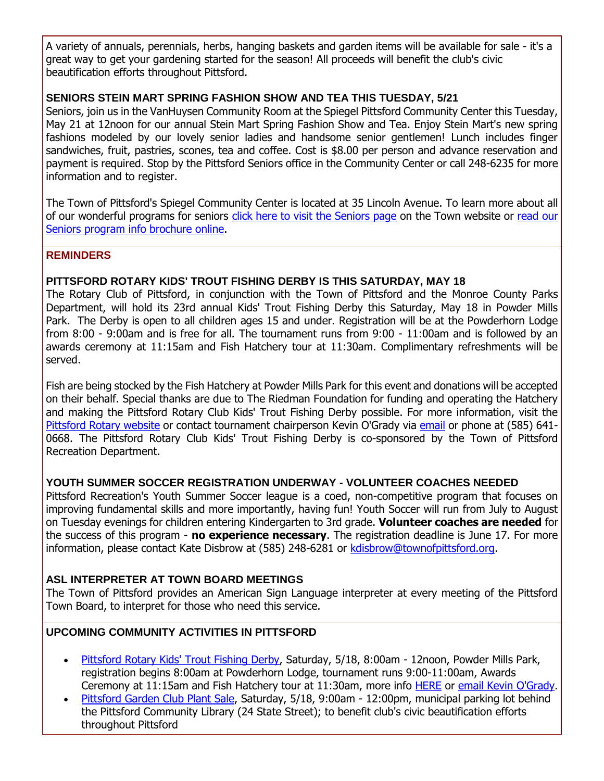A variety of annuals, perennials, herbs, hanging baskets and garden items will be available for sale - it's a great way to get your gardening started for the season! All proceeds will benefit the club's civic beautification efforts throughout Pittsford.

#### **SENIORS STEIN MART SPRING FASHION SHOW AND TEA THIS TUESDAY, 5/21**

Seniors, join us in the VanHuysen Community Room at the Spiegel Pittsford Community Center this Tuesday, May 21 at 12noon for our annual Stein Mart Spring Fashion Show and Tea. Enjoy Stein Mart's new spring fashions modeled by our lovely senior ladies and handsome senior gentlemen! Lunch includes finger sandwiches, fruit, pastries, scones, tea and coffee. Cost is \$8.00 per person and advance reservation and payment is required. Stop by the Pittsford Seniors office in the Community Center or call 248-6235 for more information and to register.

The Town of Pittsford's Spiegel Community Center is located at 35 Lincoln Avenue. To learn more about all of our wonderful programs for seniors [click here to visit the Seniors page](http://r20.rs6.net/tn.jsp?f=001glB7opHf8kdZUsYUBSc8yUZvvYMQhSGrG6Hph_OwdnxofS0_OAoGQBndhTxFjEQpcReeFeP1lqiJou-w9Z0wbo5-Bq1hDKTIZ1ZdbeY7EtcgVboGWYngZtx0i5CzFPM4DxRLMCJmg_7FTConTnkm2f5w8ufWWFFDna0UN2NhoBft6bPSw9qnBx3XZOljmWLHtLcCfuS3uOqcrmq8kFCasuA9erVVJMMHYgS3bmk_sbw4U2MsNFbqvCd-wYjts_auhfwslWN2V6MXfa16QMG09p0UN8QX6xYTz5UCqllAACPl9pUIAM5YYR0d77LbDe-0&c=0bHtB-huBllQT998-lUD-SBn5bnOukw6Wwuijw2iLJp1S8PD3yreIg==&ch=k6kYkM7rO-m0n4h8pztplogBKJ-u-fVipQ_RwLKynLZ40hah1ZutUQ==) on the Town website or [read our](http://r20.rs6.net/tn.jsp?f=001glB7opHf8kdZUsYUBSc8yUZvvYMQhSGrG6Hph_OwdnxofS0_OAoGQGSIC_yJlxadNDw10n6zuS5gcCNaYDylPi1ewCteKzZj1ethdcCGGeBGZ318N1ygfSa3PogQFNEfcK3J38bm7Xg5SwSR5bGd1TF0972XQZLHLZFr4r3A0FiVFnCYwHyhU1TRAOwdJsF0pbKYg6cfvruJIQwyYFs9fg8qKAqI9_P8MIEQp3hZL0ljUFtHRDqdACWC9hMgNZqIKQq1I2mkmO--r2UIOMr7DCvqrQl7IGYlWLRFa3Mc4EsxzyuiqBB24FFzIsURACePbQ57dGdeIRwVHI6KZIiDUxW85sFOQWEuPwMC5b36Gdp7ErRiXfthLA==&c=0bHtB-huBllQT998-lUD-SBn5bnOukw6Wwuijw2iLJp1S8PD3yreIg==&ch=k6kYkM7rO-m0n4h8pztplogBKJ-u-fVipQ_RwLKynLZ40hah1ZutUQ==)  [Seniors program info brochure online.](http://r20.rs6.net/tn.jsp?f=001glB7opHf8kdZUsYUBSc8yUZvvYMQhSGrG6Hph_OwdnxofS0_OAoGQGSIC_yJlxadNDw10n6zuS5gcCNaYDylPi1ewCteKzZj1ethdcCGGeBGZ318N1ygfSa3PogQFNEfcK3J38bm7Xg5SwSR5bGd1TF0972XQZLHLZFr4r3A0FiVFnCYwHyhU1TRAOwdJsF0pbKYg6cfvruJIQwyYFs9fg8qKAqI9_P8MIEQp3hZL0ljUFtHRDqdACWC9hMgNZqIKQq1I2mkmO--r2UIOMr7DCvqrQl7IGYlWLRFa3Mc4EsxzyuiqBB24FFzIsURACePbQ57dGdeIRwVHI6KZIiDUxW85sFOQWEuPwMC5b36Gdp7ErRiXfthLA==&c=0bHtB-huBllQT998-lUD-SBn5bnOukw6Wwuijw2iLJp1S8PD3yreIg==&ch=k6kYkM7rO-m0n4h8pztplogBKJ-u-fVipQ_RwLKynLZ40hah1ZutUQ==)

#### **REMINDERS**

#### **PITTSFORD ROTARY KIDS' TROUT FISHING DERBY IS THIS SATURDAY, MAY 18**

The Rotary Club of Pittsford, in conjunction with the Town of Pittsford and the Monroe County Parks Department, will hold its 23rd annual Kids' Trout Fishing Derby this Saturday, May 18 in Powder Mills Park. The Derby is open to all children ages 15 and under. Registration will be at the Powderhorn Lodge from 8:00 - 9:00am and is free for all. The tournament runs from 9:00 - 11:00am and is followed by an awards ceremony at 11:15am and Fish Hatchery tour at 11:30am. Complimentary refreshments will be served.

Fish are being stocked by the Fish Hatchery at Powder Mills Park for this event and donations will be accepted on their behalf. Special thanks are due to The Riedman Foundation for funding and operating the Hatchery and making the Pittsford Rotary Club Kids' Trout Fishing Derby possible. For more information, visit the [Pittsford Rotary website](http://r20.rs6.net/tn.jsp?f=001glB7opHf8kdZUsYUBSc8yUZvvYMQhSGrG6Hph_OwdnxofS0_OAoGQGqKFSxfGWuAZDquL5cKaQd-sp6B09obn18WQ3V5_xoYF4sc-QWVhiO650JbQh8QGaBgpfKGpTu4AA0KDqeNhW68Ex5REGegjYj2xvx4UALLYjdSJBvV7uhxl9DcaZsYiwfZNZp9BzAImjfbqDH8K1I4chjOyId0UOED8-lTM1XDlCLKzVPqo-C0XyCSNFpPitTRj-cGqBUUpYqPsE06TG-Yh6c9K9Cr_eEAYczEWJ6dVqnokiA4CKqjNKHBA0lqew==&c=0bHtB-huBllQT998-lUD-SBn5bnOukw6Wwuijw2iLJp1S8PD3yreIg==&ch=k6kYkM7rO-m0n4h8pztplogBKJ-u-fVipQ_RwLKynLZ40hah1ZutUQ==) or contact tournament chairperson Kevin O'Grady via [email](mailto:kevin@ogradyassociates.com?subject=Pittsford%20Rotary%20Kid) or phone at (585) 641- 0668. The Pittsford Rotary Club Kids' Trout Fishing Derby is co-sponsored by the Town of Pittsford Recreation Department.

#### **YOUTH SUMMER SOCCER REGISTRATION UNDERWAY - VOLUNTEER COACHES NEEDED**

Pittsford Recreation's Youth Summer Soccer league is a coed, non-competitive program that focuses on improving fundamental skills and more importantly, having fun! Youth Soccer will run from July to August on Tuesday evenings for children entering Kindergarten to 3rd grade. **Volunteer coaches are needed** for the success of this program - **no experience necessary**. The registration deadline is June 17. For more information, please contact Kate Disbrow at (585) 248-6281 or [kdisbrow@townofpittsford.org.](mailto:kdisbrow@townofpittsford.org)

#### **ASL INTERPRETER AT TOWN BOARD MEETINGS**

The Town of Pittsford provides an American Sign Language interpreter at every meeting of the Pittsford Town Board, to interpret for those who need this service.

#### **UPCOMING COMMUNITY ACTIVITIES IN PITTSFORD**

- [Pittsford Rotary Kids' Trout Fishing Derby,](http://r20.rs6.net/tn.jsp?f=001glB7opHf8kdZUsYUBSc8yUZvvYMQhSGrG6Hph_OwdnxofS0_OAoGQGqKFSxfGWuAZDquL5cKaQd-sp6B09obn18WQ3V5_xoYF4sc-QWVhiO650JbQh8QGaBgpfKGpTu4AA0KDqeNhW68Ex5REGegjYj2xvx4UALLYjdSJBvV7uhxl9DcaZsYiwfZNZp9BzAImjfbqDH8K1I4chjOyId0UOED8-lTM1XDlCLKzVPqo-C0XyCSNFpPitTRj-cGqBUUpYqPsE06TG-Yh6c9K9Cr_eEAYczEWJ6dVqnokiA4CKqjNKHBA0lqew==&c=0bHtB-huBllQT998-lUD-SBn5bnOukw6Wwuijw2iLJp1S8PD3yreIg==&ch=k6kYkM7rO-m0n4h8pztplogBKJ-u-fVipQ_RwLKynLZ40hah1ZutUQ==) Saturday, 5/18, 8:00am 12noon, Powder Mills Park, registration begins 8:00am at Powderhorn Lodge, tournament runs 9:00-11:00am, Awards Ceremony at 11:15am and Fish Hatchery tour at 11:30am, more info [HERE](http://r20.rs6.net/tn.jsp?f=001glB7opHf8kdZUsYUBSc8yUZvvYMQhSGrG6Hph_OwdnxofS0_OAoGQGqKFSxfGWuAZDquL5cKaQd-sp6B09obn18WQ3V5_xoYF4sc-QWVhiO650JbQh8QGaBgpfKGpTu4AA0KDqeNhW68Ex5REGegjYj2xvx4UALLYjdSJBvV7uhxl9DcaZsYiwfZNZp9BzAImjfbqDH8K1I4chjOyId0UOED8-lTM1XDlCLKzVPqo-C0XyCSNFpPitTRj-cGqBUUpYqPsE06TG-Yh6c9K9Cr_eEAYczEWJ6dVqnokiA4CKqjNKHBA0lqew==&c=0bHtB-huBllQT998-lUD-SBn5bnOukw6Wwuijw2iLJp1S8PD3yreIg==&ch=k6kYkM7rO-m0n4h8pztplogBKJ-u-fVipQ_RwLKynLZ40hah1ZutUQ==) or [email Kevin O'Grady.](mailto:kevin@ogradyassociates.com?subject=Pittsford%20Rotary%20Kids)
- [Pittsford Garden Club Plant Sale,](http://pittsfordgardenclub.wordpress.com/?utm_source=eNews+05-15-19&utm_campaign=eNews+05-15-19&utm_medium=email) Saturday, 5/18, 9:00am 12:00pm, municipal parking lot behind the Pittsford Community Library (24 State Street); to benefit club's civic beautification efforts throughout Pittsford